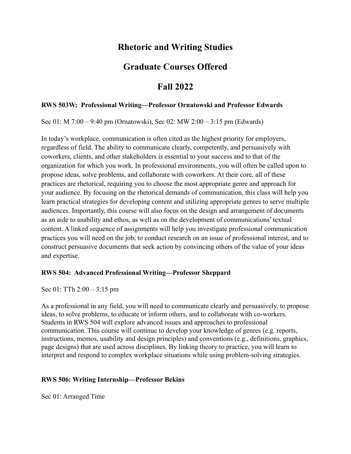# **Rhetoric and Writing Studies**

## **Graduate Courses Offered**

## **Fall 2022**

#### **RWS 503W: Professional Writing—Professor Ornatowski and Professor Edwards**

Sec 01: M 7:00 – 9:40 pm (Ornatowski), Sec 02: MW 2:00 – 3:15 pm (Edwards)

In today's workplace, communication is often cited as the highest priority for employers, regardless of field. The ability to communicate clearly, competently, and persuasively with coworkers, clients, and other stakeholders is essential to your success and to that of the organization for which you work. In professional environments, you will often be called upon to propose ideas, solve problems, and collaborate with coworkers. At their core, all of these practices are rhetorical, requiring you to choose the most appropriate genre and approach for your audience. By focusing on the rhetorical demands of communication, this class will help you learn practical strategies for developing content and utilizing appropriate genres to serve multiple audiences. Importantly, this course will also focus on the design and arrangement of documents as an aide to usability and ethos, as well as on the development of communications' textual content. A linked sequence of assignments will help you investigate professional communication practices you will need on the job, to conduct research on an issue of professional interest, and to construct persuasive documents that seek action by convincing others of the value of your ideas and expertise.

#### **RWS 504: Advanced Professional Writing—Professor Sheppard**

Sec 01: TTh 2:00 – 3:15 pm

As a professional in any field, you will need to communicate clearly and persuasively, to propose ideas, to solve problems, to educate or inform others, and to collaborate with co-workers. Students in RWS 504 will explore advanced issues and approaches to professional communication. This course will continue to develop your knowledge of genres (e.g. reports, instructions, memos, usability and design principles) and conventions (e.g., definitions, graphics, page designs) that are used across disciplines. By linking theory to practice, you will learn to interpret and respond to complex workplace situations while using problem-solving strategies.

#### **RWS 506: Writing Internship—Professor Bekins**

Sec 01: Arranged Time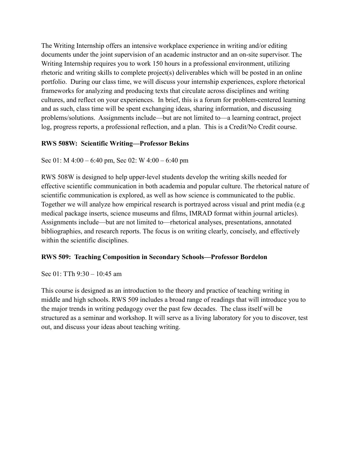The Writing Internship offers an intensive workplace experience in writing and/or editing documents under the joint supervision of an academic instructor and an on-site supervisor. The Writing Internship requires you to work 150 hours in a professional environment, utilizing rhetoric and writing skills to complete project(s) deliverables which will be posted in an online portfolio. During our class time, we will discuss your internship experiences, explore rhetorical frameworks for analyzing and producing texts that circulate across disciplines and writing cultures, and reflect on your experiences. In brief, this is a forum for problem-centered learning and as such, class time will be spent exchanging ideas, sharing information, and discussing problems/solutions. Assignments include—but are not limited to—a learning contract, project log, progress reports, a professional reflection, and a plan. This is a Credit/No Credit course.

### **RWS 508W: Scientific Writing—Professor Bekins**

Sec 01: M 4:00 – 6:40 pm, Sec 02: W 4:00 – 6:40 pm

RWS 508W is designed to help upper-level students develop the writing skills needed for effective scientific communication in both academia and popular culture. The rhetorical nature of scientific communication is explored, as well as how science is communicated to the public. Together we will analyze how empirical research is portrayed across visual and print media (e.g medical package inserts, science museums and films, IMRAD format within journal articles). Assignments include—but are not limited to—rhetorical analyses, presentations, annotated bibliographies, and research reports. The focus is on writing clearly, concisely, and effectively within the scientific disciplines.

#### **RWS 509: Teaching Composition in Secondary Schools—Professor Bordelon**

Sec 01: TTh 9:30 – 10:45 am

This course is designed as an introduction to the theory and practice of teaching writing in middle and high schools. RWS 509 includes a broad range of readings that will introduce you to the major trends in writing pedagogy over the past few decades. The class itself will be structured as a seminar and workshop. It will serve as a living laboratory for you to discover, test out, and discuss your ideas about teaching writing.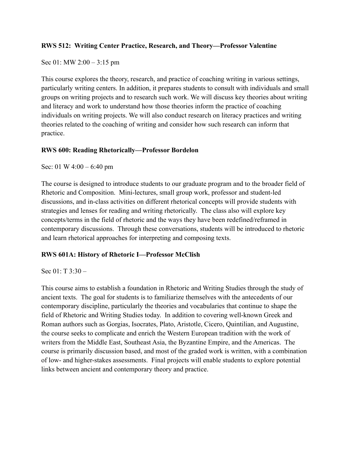#### **RWS 512: Writing Center Practice, Research, and Theory—Professor Valentine**

Sec 01: MW 2:00 – 3:15 pm

This course explores the theory, research, and practice of coaching writing in various settings, particularly writing centers. In addition, it prepares students to consult with individuals and small groups on writing projects and to research such work. We will discuss key theories about writing and literacy and work to understand how those theories inform the practice of coaching individuals on writing projects. We will also conduct research on literacy practices and writing theories related to the coaching of writing and consider how such research can inform that practice.

#### **RWS 600: Reading Rhetorically—Professor Bordelon**

Sec: 01 W 4:00 – 6:40 pm

 strategies and lenses for reading and writing rhetorically. The class also will explore key contemporary discussions. Through these conversations, students will be introduced to rhetoric The course is designed to introduce students to our graduate program and to the broader field of Rhetoric and Composition. Mini-lectures, small group work, professor and student-led discussions, and in-class activities on different rhetorical concepts will provide students with concepts/terms in the field of rhetoric and the ways they have been redefined/reframed in and learn rhetorical approaches for interpreting and composing texts.

#### **RWS 601A: History of Rhetoric I—Professor McClish**

Sec  $01: T_3:30 -$ 

This course aims to establish a foundation in Rhetoric and Writing Studies through the study of ancient texts. The goal for students is to familiarize themselves with the antecedents of our contemporary discipline, particularly the theories and vocabularies that continue to shape the field of Rhetoric and Writing Studies today. In addition to covering well-known Greek and Roman authors such as Gorgias, Isocrates, Plato, Aristotle, Cicero, Quintilian, and Augustine, the course seeks to complicate and enrich the Western European tradition with the work of writers from the Middle East, Southeast Asia, the Byzantine Empire, and the Americas. The course is primarily discussion based, and most of the graded work is written, with a combination of low- and higher-stakes assessments. Final projects will enable students to explore potential links between ancient and contemporary theory and practice.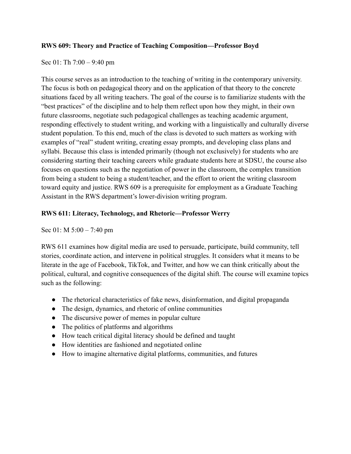#### **RWS 609: Theory and Practice of Teaching Composition—Professor Boyd**

#### Sec 01: Th 7:00 – 9:40 pm

This course serves as an introduction to the teaching of writing in the contemporary university. The focus is both on pedagogical theory and on the application of that theory to the concrete situations faced by all writing teachers. The goal of the course is to familiarize students with the "best practices" of the discipline and to help them reflect upon how they might, in their own future classrooms, negotiate such pedagogical challenges as teaching academic argument, responding effectively to student writing, and working with a linguistically and culturally diverse student population. To this end, much of the class is devoted to such matters as working with examples of "real" student writing, creating essay prompts, and developing class plans and syllabi. Because this class is intended primarily (though not exclusively) for students who are considering starting their teaching careers while graduate students here at SDSU, the course also focuses on questions such as the negotiation of power in the classroom, the complex transition from being a student to being a student/teacher, and the effort to orient the writing classroom toward equity and justice. RWS 609 is a prerequisite for employment as a Graduate Teaching Assistant in the RWS department's lower-division writing program.

### **RWS 611: Literacy, Technology, and Rhetoric—Professor Werry**

Sec 01: M 5:00 – 7:40 pm

RWS 611 examines how digital media are used to persuade, participate, build community, tell stories, coordinate action, and intervene in political struggles. It considers what it means to be literate in the age of Facebook, TikTok, and Twitter, and how we can think critically about the political, cultural, and cognitive consequences of the digital shift. The course will examine topics such as the following:

- The rhetorical characteristics of fake news, disinformation, and digital propaganda
- The design, dynamics, and rhetoric of online communities
- The discursive power of memes in popular culture
- The politics of platforms and algorithms
- How teach critical digital literacy should be defined and taught
- How identities are fashioned and negotiated online
- How to imagine alternative digital platforms, communities, and futures